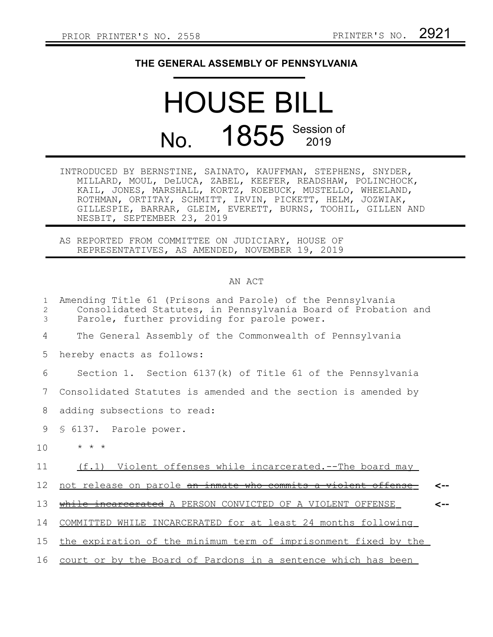## **THE GENERAL ASSEMBLY OF PENNSYLVANIA**

## HOUSE BILL No. 1855 Session of

INTRODUCED BY BERNSTINE, SAINATO, KAUFFMAN, STEPHENS, SNYDER, MILLARD, MOUL, DeLUCA, ZABEL, KEEFER, READSHAW, POLINCHOCK, KAIL, JONES, MARSHALL, KORTZ, ROEBUCK, MUSTELLO, WHEELAND, ROTHMAN, ORTITAY, SCHMITT, IRVIN, PICKETT, HELM, JOZWIAK, GILLESPIE, BARRAR, GLEIM, EVERETT, BURNS, TOOHIL, GILLEN AND NESBIT, SEPTEMBER 23, 2019

AS REPORTED FROM COMMITTEE ON JUDICIARY, HOUSE OF REPRESENTATIVES, AS AMENDED, NOVEMBER 19, 2019

## AN ACT

| 1<br>$\overline{2}$<br>3 | Amending Title 61 (Prisons and Parole) of the Pennsylvania<br>Consolidated Statutes, in Pennsylvania Board of Probation and<br>Parole, further providing for parole power. |     |
|--------------------------|----------------------------------------------------------------------------------------------------------------------------------------------------------------------------|-----|
| 4                        | The General Assembly of the Commonwealth of Pennsylvania                                                                                                                   |     |
| 5                        | hereby enacts as follows:                                                                                                                                                  |     |
| 6                        | Section 1. Section 6137(k) of Title 61 of the Pennsylvania                                                                                                                 |     |
| 7                        | Consolidated Statutes is amended and the section is amended by                                                                                                             |     |
| 8                        | adding subsections to read:                                                                                                                                                |     |
| 9                        | § 6137. Parole power.                                                                                                                                                      |     |
| 10                       | $* * *$                                                                                                                                                                    |     |
| 11                       | (f.1) Violent offenses while incarcerated.--The board may                                                                                                                  |     |
| 12                       | not release on parole an inmate who commits a violent offense                                                                                                              |     |
| 13                       | while incarcerated A PERSON CONVICTED OF A VIOLENT OFFENSE                                                                                                                 | <-- |
| 14                       | COMMITTED WHILE INCARCERATED for at least 24 months following                                                                                                              |     |
| 15                       | the expiration of the minimum term of imprisonment fixed by the                                                                                                            |     |
| 16                       | court or by the Board of Pardons in a sentence which has been                                                                                                              |     |
|                          |                                                                                                                                                                            |     |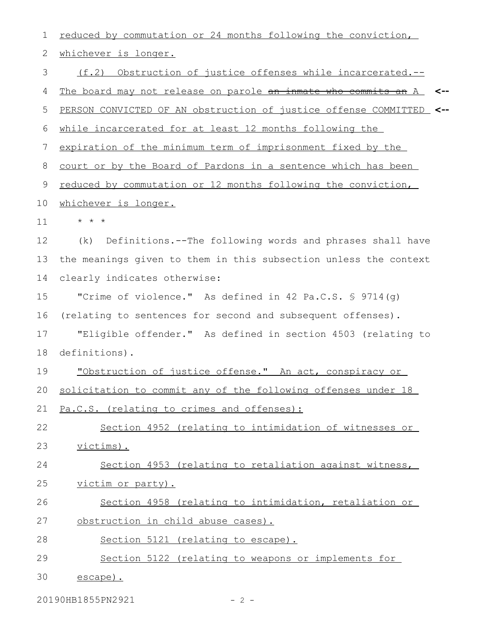| 1  | reduced by commutation or 24 months following the conviction,         |
|----|-----------------------------------------------------------------------|
| 2  | whichever is longer.                                                  |
| 3  | (f.2) Obstruction of justice offenses while incarcerated.--           |
| 4  | The board may not release on parole an inmate who commits an A<br><-- |
| 5  | PERSON CONVICTED OF AN obstruction of justice offense COMMITTED <--   |
| 6  | while incarcerated for at least 12 months following the               |
| 7  | expiration of the minimum term of imprisonment fixed by the           |
| 8  | court or by the Board of Pardons in a sentence which has been         |
| 9  | reduced by commutation or 12 months following the conviction,         |
| 10 | whichever is longer.                                                  |
| 11 | $\star$ $\star$ $\star$                                               |
| 12 | Definitions.--The following words and phrases shall have<br>(k)       |
| 13 | the meanings given to them in this subsection unless the context      |
| 14 | clearly indicates otherwise:                                          |
| 15 | "Crime of violence." As defined in 42 Pa.C.S. $\frac{1}{5}$ 9714(q)   |
| 16 | (relating to sentences for second and subsequent offenses).           |
| 17 | "Eligible offender." As defined in section 4503 (relating to          |
| 18 | definitions).                                                         |
| 19 | "Obstruction of justice offense." An act, conspiracy or               |
|    | 20 solicitation to commit any of the following offenses under 18      |
| 21 | Pa.C.S. (relating to crimes and offenses):                            |
| 22 | Section 4952 (relating to intimidation of witnesses or                |
| 23 | victims).                                                             |
| 24 | Section 4953 (relating to retaliation against witness,                |
| 25 | victim or party).                                                     |
| 26 | Section 4958 (relating to intimidation, retaliation or                |
| 27 | obstruction in child abuse cases).                                    |
| 28 | Section 5121 (relating to escape).                                    |
| 29 | Section 5122 (relating to weapons or implements for                   |
| 30 | escape).                                                              |

20190HB1855PN2921 - 2 -